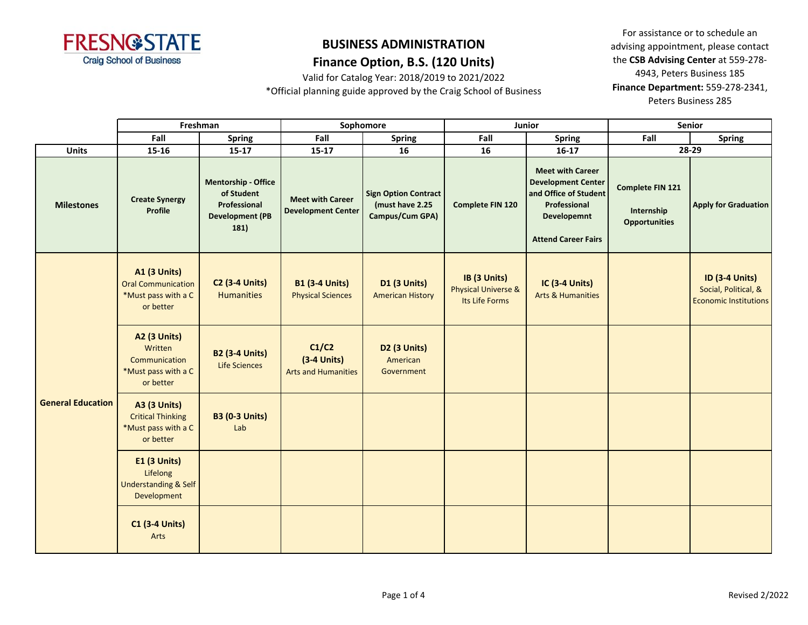

### **Finance Option, B.S. (120 Units)**

Valid for Catalog Year: 2018/2019 to 2021/2022

\*Official planning guide approved by the Craig School of Business

|                          |                                                                                      | Freshman                                                                                   |                                                      | Sophomore                                                         |                                                                  | Junior                                                                                                                                     | Senior                                                 |                                                                               |  |
|--------------------------|--------------------------------------------------------------------------------------|--------------------------------------------------------------------------------------------|------------------------------------------------------|-------------------------------------------------------------------|------------------------------------------------------------------|--------------------------------------------------------------------------------------------------------------------------------------------|--------------------------------------------------------|-------------------------------------------------------------------------------|--|
|                          | Fall                                                                                 | Spring                                                                                     | Fall                                                 | <b>Spring</b>                                                     | Fall                                                             | <b>Spring</b>                                                                                                                              | Fall                                                   | <b>Spring</b>                                                                 |  |
| <b>Units</b>             | 15-16                                                                                | $15 - 17$                                                                                  | $15 - 17$                                            | 16                                                                | 16                                                               | $16-17$                                                                                                                                    |                                                        | 28-29                                                                         |  |
| <b>Milestones</b>        | <b>Create Synergy</b><br>Profile                                                     | <b>Mentorship - Office</b><br>of Student<br>Professional<br><b>Development (PB</b><br>181) | <b>Meet with Career</b><br><b>Development Center</b> | <b>Sign Option Contract</b><br>(must have 2.25<br>Campus/Cum GPA) | <b>Complete FIN 120</b>                                          | <b>Meet with Career</b><br><b>Development Center</b><br>and Office of Student<br>Professional<br>Developemnt<br><b>Attend Career Fairs</b> | Complete FIN 121<br>Internship<br><b>Opportunities</b> | <b>Apply for Graduation</b>                                                   |  |
|                          | <b>A1 (3 Units)</b><br><b>Oral Communication</b><br>*Must pass with a C<br>or better | <b>C2 (3-4 Units)</b><br><b>Humanities</b>                                                 | <b>B1 (3-4 Units)</b><br><b>Physical Sciences</b>    | <b>D1 (3 Units)</b><br><b>American History</b>                    | IB (3 Units)<br><b>Physical Universe &amp;</b><br>Its Life Forms | <b>IC (3-4 Units)</b><br><b>Arts &amp; Humanities</b>                                                                                      |                                                        | <b>ID (3-4 Units)</b><br>Social, Political, &<br><b>Economic Institutions</b> |  |
|                          | <b>A2 (3 Units)</b><br>Written<br>Communication<br>*Must pass with a C<br>or better  | <b>B2 (3-4 Units)</b><br>Life Sciences                                                     | C1/C2<br>$(3-4$ Units)<br><b>Arts and Humanities</b> | D <sub>2</sub> (3 Units)<br>American<br>Government                |                                                                  |                                                                                                                                            |                                                        |                                                                               |  |
| <b>General Education</b> | <b>A3 (3 Units)</b><br><b>Critical Thinking</b><br>*Must pass with a C<br>or better  | <b>B3 (0-3 Units)</b><br>Lab                                                               |                                                      |                                                                   |                                                                  |                                                                                                                                            |                                                        |                                                                               |  |
|                          | E1 (3 Units)<br>Lifelong<br>Understanding & Self<br>Development                      |                                                                                            |                                                      |                                                                   |                                                                  |                                                                                                                                            |                                                        |                                                                               |  |
|                          | <b>C1 (3-4 Units)</b><br>Arts                                                        |                                                                                            |                                                      |                                                                   |                                                                  |                                                                                                                                            |                                                        |                                                                               |  |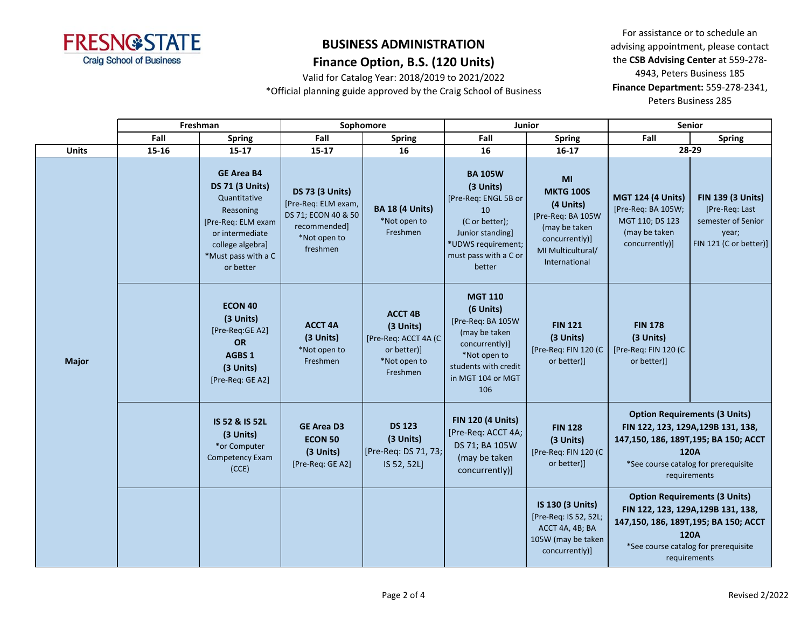

### **Finance Option, B.S. (120 Units)**

Valid for Catalog Year: 2018/2019 to 2021/2022 \*Official planning guide approved by the Craig School of Business

|              | Freshman |                                                                                                                                                                           |                                                                                                                  | Sophomore                                                                                      |                                                                                                                                                         | Junior                                                                                                                            |                                                                                                                                                                                    | <b>Senior</b>                                                                                       |
|--------------|----------|---------------------------------------------------------------------------------------------------------------------------------------------------------------------------|------------------------------------------------------------------------------------------------------------------|------------------------------------------------------------------------------------------------|---------------------------------------------------------------------------------------------------------------------------------------------------------|-----------------------------------------------------------------------------------------------------------------------------------|------------------------------------------------------------------------------------------------------------------------------------------------------------------------------------|-----------------------------------------------------------------------------------------------------|
|              | Fall     | <b>Spring</b>                                                                                                                                                             | Fall                                                                                                             | <b>Spring</b>                                                                                  | Fall                                                                                                                                                    | <b>Spring</b>                                                                                                                     | Fall                                                                                                                                                                               | <b>Spring</b>                                                                                       |
| <b>Units</b> | 15-16    | $15 - 17$                                                                                                                                                                 | $15 - 17$                                                                                                        | 16                                                                                             | 16                                                                                                                                                      | $16-17$                                                                                                                           | 28-29                                                                                                                                                                              |                                                                                                     |
|              |          | <b>GE Area B4</b><br><b>DS 71 (3 Units)</b><br>Quantitative<br>Reasoning<br>[Pre-Req: ELM exam<br>or intermediate<br>college algebra]<br>*Must pass with a C<br>or better | <b>DS 73 (3 Units)</b><br>[Pre-Req: ELM exam,<br>DS 71; ECON 40 & 50<br>recommended]<br>*Not open to<br>freshmen | <b>BA 18 (4 Units)</b><br>*Not open to<br>Freshmen                                             | <b>BA 105W</b><br>(3 Units)<br>[Pre-Req: ENGL 5B or<br>10<br>(C or better);<br>Junior standing<br>*UDWS requirement;<br>must pass with a C or<br>better | MI<br><b>MKTG 100S</b><br>(4 Units)<br>[Pre-Req: BA 105W<br>(may be taken<br>concurrently)]<br>MI Multicultural/<br>International | <b>MGT 124 (4 Units)</b><br>[Pre-Req: BA 105W;<br>MGT 110; DS 123<br>(may be taken<br>concurrently)]                                                                               | <b>FIN 139 (3 Units)</b><br>[Pre-Req: Last<br>semester of Senior<br>year;<br>FIN 121 (C or better)] |
| <b>Major</b> |          | <b>ECON 40</b><br>(3 Units)<br>[Pre-Req:GE A2]<br><b>OR</b><br>AGBS 1<br>(3 Units)<br>[Pre-Req: GE A2]                                                                    | <b>ACCT 4A</b><br>(3 Units)<br>*Not open to<br>Freshmen                                                          | <b>ACCT 4B</b><br>(3 Units)<br>[Pre-Req: ACCT 4A (C<br>or better)]<br>*Not open to<br>Freshmen | <b>MGT 110</b><br>(6 Units)<br>[Pre-Req: BA 105W<br>(may be taken<br>concurrently)]<br>*Not open to<br>students with credit<br>in MGT 104 or MGT<br>106 | <b>FIN 121</b><br>(3 Units)<br>[Pre-Req: FIN 120 (C<br>or better)]                                                                | <b>FIN 178</b><br>(3 Units)<br>[Pre-Req: FIN 120 (C<br>or better)]                                                                                                                 |                                                                                                     |
|              |          | IS 52 & IS 52L<br>(3 Units)<br>*or Computer<br><b>Competency Exam</b><br>(CCE)                                                                                            | <b>GE Area D3</b><br><b>ECON 50</b><br>(3 Units)<br>[Pre-Req: GE A2]                                             | <b>DS 123</b><br>(3 Units)<br>[Pre-Req: DS 71, 73;<br>IS 52, 52L]                              | <b>FIN 120 (4 Units)</b><br>[Pre-Req: ACCT 4A;<br>DS 71; BA 105W<br>(may be taken<br>concurrently)]                                                     | <b>FIN 128</b><br>(3 Units)<br>[Pre-Req: FIN 120 (C<br>or better)]                                                                | <b>Option Requirements (3 Units)</b><br>FIN 122, 123, 129A, 129B 131, 138,<br>147,150, 186, 189T,195; BA 150; ACCT<br>120A<br>*See course catalog for prerequisite<br>requirements |                                                                                                     |
|              |          |                                                                                                                                                                           |                                                                                                                  |                                                                                                |                                                                                                                                                         | IS 130 (3 Units)<br>[Pre-Req: IS 52, 52L;<br>ACCT 4A, 4B; BA<br>105W (may be taken<br>concurrently)]                              | <b>Option Requirements (3 Units)</b><br>FIN 122, 123, 129A, 129B 131, 138,<br>147,150, 186, 189T,195; BA 150; ACCT<br>120A<br>*See course catalog for prerequisite<br>requirements |                                                                                                     |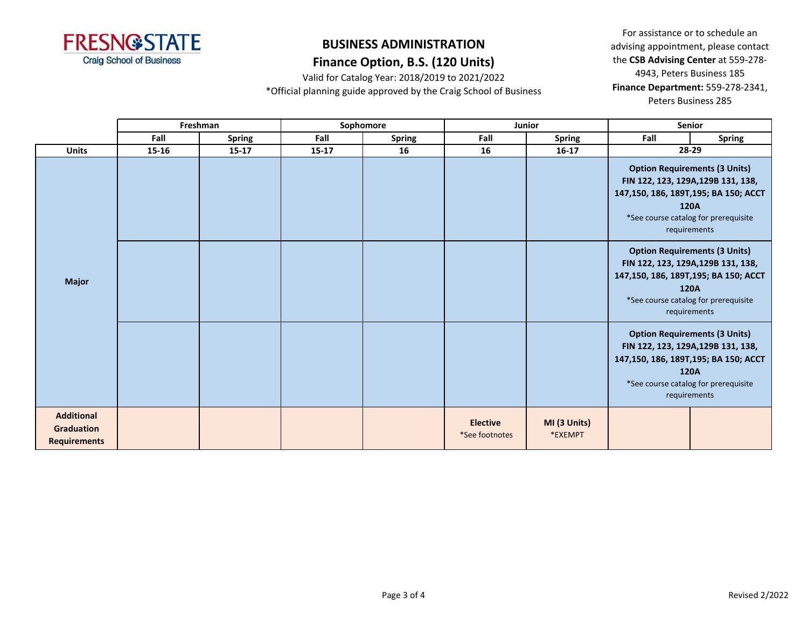

### **Finance Option, B.S. (120 Units)**

Valid for Catalog Year: 2018/2019 to 2021/2022

\*Official planning guide approved by the Craig School of Business

|                                                               |       | Freshman      |       | Sophomore     |                                   | Junior                  |                                                                                                                                                                                    | <b>Senior</b>                                                                                                                                                                      |
|---------------------------------------------------------------|-------|---------------|-------|---------------|-----------------------------------|-------------------------|------------------------------------------------------------------------------------------------------------------------------------------------------------------------------------|------------------------------------------------------------------------------------------------------------------------------------------------------------------------------------|
|                                                               | Fall  | <b>Spring</b> | Fall  | <b>Spring</b> | Fall                              | <b>Spring</b>           | Fall                                                                                                                                                                               | <b>Spring</b>                                                                                                                                                                      |
| <b>Units</b>                                                  | 15-16 | $15 - 17$     | 15-17 | 16            | 16                                | $16 - 17$               |                                                                                                                                                                                    | 28-29                                                                                                                                                                              |
|                                                               |       |               |       |               |                                   |                         |                                                                                                                                                                                    | <b>Option Requirements (3 Units)</b><br>FIN 122, 123, 129A, 129B 131, 138,<br>147,150, 186, 189T,195; BA 150; ACCT<br>120A<br>*See course catalog for prerequisite<br>requirements |
| <b>Major</b>                                                  |       |               |       |               |                                   |                         |                                                                                                                                                                                    | <b>Option Requirements (3 Units)</b><br>FIN 122, 123, 129A, 129B 131, 138,<br>147,150, 186, 189T,195; BA 150; ACCT<br>120A<br>*See course catalog for prerequisite<br>requirements |
|                                                               |       |               |       |               |                                   |                         | <b>Option Requirements (3 Units)</b><br>FIN 122, 123, 129A, 129B 131, 138,<br>147,150, 186, 189T,195; BA 150; ACCT<br>120A<br>*See course catalog for prerequisite<br>requirements |                                                                                                                                                                                    |
| <b>Additional</b><br><b>Graduation</b><br><b>Requirements</b> |       |               |       |               | <b>Elective</b><br>*See footnotes | MI (3 Units)<br>*EXEMPT |                                                                                                                                                                                    |                                                                                                                                                                                    |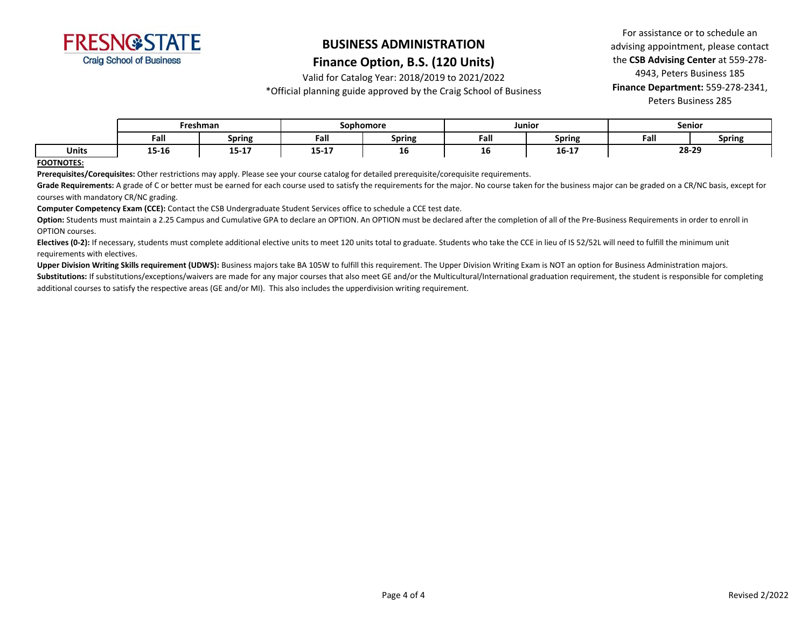

#### **Finance Option, B.S. (120 Units)**

Valid for Catalog Year: 2018/2019 to 2021/2022

\*Official planning guide approved by the Craig School of Business

For assistance or to schedule an advising appointment, please contact the **CSB Advising Center** at 559-278- 4943, Peters Business 185 **Finance Department:** 559-278-2341, Peters Business 285

|              | Freshman |                          | Sophomore             |        | Junioi |                      | Senior |               |
|--------------|----------|--------------------------|-----------------------|--------|--------|----------------------|--------|---------------|
|              | Fall     | <b>Spring</b>            | Fall                  | Spring | Fall   | - -<br><b>Spring</b> | Fall   | <b>Spring</b> |
| <b>Units</b> | 15-16    | $\overline{AB}$<br>15-17 | $\sim$ $\sim$<br>- 45 | тo     | тo     | $16 - 17$            | 28-29  |               |

#### **FOOTNOTES:**

**Prerequisites/Corequisites:** Other restrictions may apply. Please see your course catalog for detailed prerequisite/corequisite requirements.

Grade Requirements: A grade of C or better must be earned for each course used to satisfy the requirements for the major. No course taken for the business major can be graded on a CR/NC basis, except for courses with mandatory CR/NC grading.

**Computer Competency Exam (CCE):** Contact the CSB Undergraduate Student Services office to schedule a CCE test date.

Option: Students must maintain a 2.25 Campus and Cumulative GPA to declare an OPTION. An OPTION must be declared after the completion of all of the Pre-Business Requirements in order to enroll in OPTION courses.

Electives (0-2): If necessary, students must complete additional elective units to meet 120 units total to graduate. Students who take the CCE in lieu of IS 52/52L will need to fulfill the minimum unit requirements with electives.

**Upper Division Writing Skills requirement (UDWS):** Business majors take BA 105W to fulfill this requirement. The Upper Division Writing Exam is NOT an option for Business Administration majors.

Substitutions: If substitutions/exceptions/waivers are made for any major courses that also meet GE and/or the Multicultural/International graduation requirement, the student is responsible for completing additional courses to satisfy the respective areas (GE and/or MI). This also includes the upperdivision writing requirement.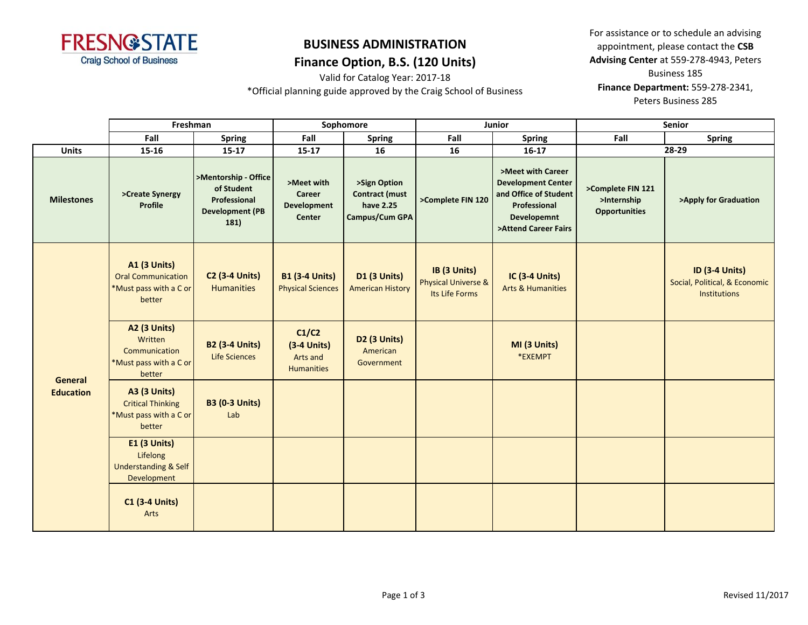

Valid for Catalog Year: 2017-18

\*Official planning guide approved by the Craig School of Business

|                             | Freshman                                                                             |                                                                                      | Sophomore                                               |                                                                      |                                                                  | Junior                                                                                                                                | <b>Senior</b>                                            |                                                                               |  |
|-----------------------------|--------------------------------------------------------------------------------------|--------------------------------------------------------------------------------------|---------------------------------------------------------|----------------------------------------------------------------------|------------------------------------------------------------------|---------------------------------------------------------------------------------------------------------------------------------------|----------------------------------------------------------|-------------------------------------------------------------------------------|--|
|                             | Fall                                                                                 | <b>Spring</b>                                                                        | Fall                                                    | <b>Spring</b>                                                        | Fall                                                             | <b>Spring</b>                                                                                                                         | Fall                                                     | <b>Spring</b>                                                                 |  |
| <b>Units</b>                | 15-16                                                                                | $15 - 17$                                                                            | $15 - 17$                                               | 16                                                                   | 16                                                               | $16-17$                                                                                                                               |                                                          | 28-29                                                                         |  |
| <b>Milestones</b>           | >Create Synergy<br>Profile                                                           | >Mentorship - Office<br>of Student<br>Professional<br><b>Development (PB</b><br>181) | >Meet with<br>Career<br><b>Development</b><br>Center    | >Sign Option<br><b>Contract (must</b><br>have 2.25<br>Campus/Cum GPA | >Complete FIN 120                                                | >Meet with Career<br><b>Development Center</b><br>and Office of Student<br>Professional<br><b>Developemnt</b><br>>Attend Career Fairs | >Complete FIN 121<br>>Internship<br><b>Opportunities</b> | >Apply for Graduation                                                         |  |
|                             | <b>A1 (3 Units)</b><br><b>Oral Communication</b><br>*Must pass with a C or<br>better | <b>C2 (3-4 Units)</b><br><b>Humanities</b>                                           | <b>B1 (3-4 Units)</b><br><b>Physical Sciences</b>       | <b>D1 (3 Units)</b><br><b>American History</b>                       | IB (3 Units)<br><b>Physical Universe &amp;</b><br>Its Life Forms | <b>IC (3-4 Units)</b><br><b>Arts &amp; Humanities</b>                                                                                 |                                                          | <b>ID (3-4 Units)</b><br>Social, Political, & Economic<br><b>Institutions</b> |  |
|                             | <b>A2 (3 Units)</b><br>Written<br>Communication<br>*Must pass with a C or<br>better  | <b>B2 (3-4 Units)</b><br><b>Life Sciences</b>                                        | C1/C2<br>$(3-4$ Units)<br>Arts and<br><b>Humanities</b> | <b>D2 (3 Units)</b><br>American<br>Government                        |                                                                  | MI (3 Units)<br>*EXEMPT                                                                                                               |                                                          |                                                                               |  |
| General<br><b>Education</b> | <b>A3 (3 Units)</b><br><b>Critical Thinking</b><br>*Must pass with a C or<br>better  | <b>B3 (0-3 Units)</b><br>Lab                                                         |                                                         |                                                                      |                                                                  |                                                                                                                                       |                                                          |                                                                               |  |
|                             | <b>E1 (3 Units)</b><br>Lifelong<br><b>Understanding &amp; Self</b><br>Development    |                                                                                      |                                                         |                                                                      |                                                                  |                                                                                                                                       |                                                          |                                                                               |  |
|                             | <b>C1 (3-4 Units)</b><br>Arts                                                        |                                                                                      |                                                         |                                                                      |                                                                  |                                                                                                                                       |                                                          |                                                                               |  |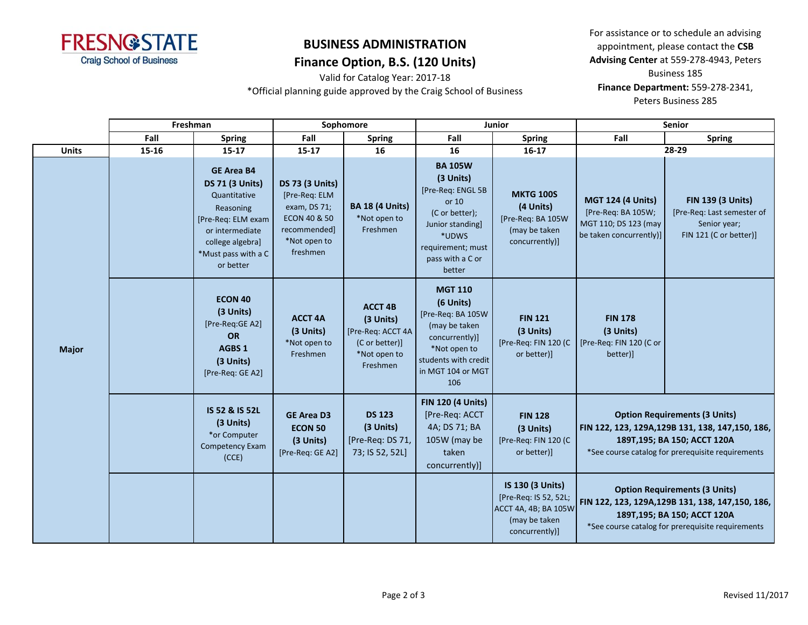

Valid for Catalog Year: 2017-18 \*Official planning guide approved by the Craig School of Business

|              |              | Freshman |                                                                                                                                                                           | Sophomore                                                                                                                      |                                                                                                |                                                                                                                                                             | <b>Junior</b>                                                                                        | <b>Senior</b>                                                                                                                                                                  |                                                                                                                                                                                |
|--------------|--------------|----------|---------------------------------------------------------------------------------------------------------------------------------------------------------------------------|--------------------------------------------------------------------------------------------------------------------------------|------------------------------------------------------------------------------------------------|-------------------------------------------------------------------------------------------------------------------------------------------------------------|------------------------------------------------------------------------------------------------------|--------------------------------------------------------------------------------------------------------------------------------------------------------------------------------|--------------------------------------------------------------------------------------------------------------------------------------------------------------------------------|
|              |              | Fall     | <b>Spring</b>                                                                                                                                                             | Fall                                                                                                                           | <b>Spring</b>                                                                                  | Fall                                                                                                                                                        | <b>Spring</b>                                                                                        | Fall                                                                                                                                                                           | <b>Spring</b>                                                                                                                                                                  |
|              | <b>Units</b> | 15-16    | $15 - 17$                                                                                                                                                                 | $15 - 17$                                                                                                                      | 16                                                                                             | 16                                                                                                                                                          | $16-17$                                                                                              |                                                                                                                                                                                | 28-29                                                                                                                                                                          |
| <b>Major</b> |              |          | <b>GE Area B4</b><br><b>DS 71 (3 Units)</b><br>Quantitative<br>Reasoning<br>[Pre-Req: ELM exam<br>or intermediate<br>college algebra]<br>*Must pass with a C<br>or better | <b>DS 73 (3 Units)</b><br>[Pre-Req: ELM<br>exam, DS 71;<br><b>ECON 40 &amp; 50</b><br>recommended]<br>*Not open to<br>freshmen | <b>BA 18 (4 Units)</b><br>*Not open to<br>Freshmen                                             | <b>BA 105W</b><br>(3 Units)<br>[Pre-Req: ENGL 5B<br>or 10<br>(C or better);<br>Junior standing]<br>*UDWS<br>requirement; must<br>pass with a C or<br>better | <b>MKTG 100S</b><br>(4 Units)<br>[Pre-Req: BA 105W<br>(may be taken<br>concurrently)]                | <b>MGT 124 (4 Units)</b><br>[Pre-Req: BA 105W;<br>MGT 110; DS 123 (may<br>be taken concurrently)]                                                                              | <b>FIN 139 (3 Units)</b><br>[Pre-Req: Last semester of<br>Senior year;<br>FIN 121 (C or better)]                                                                               |
|              |              |          | <b>ECON 40</b><br>(3 Units)<br>[Pre-Reg:GE A2]<br><b>OR</b><br>AGBS <sub>1</sub><br>(3 Units)<br>[Pre-Req: GE A2]                                                         | <b>ACCT 4A</b><br>(3 Units)<br>*Not open to<br>Freshmen                                                                        | <b>ACCT 4B</b><br>(3 Units)<br>[Pre-Req: ACCT 4A<br>(C or better)]<br>*Not open to<br>Freshmen | <b>MGT 110</b><br>(6 Units)<br>[Pre-Req: BA 105W<br>(may be taken<br>concurrently)]<br>*Not open to<br>students with credit<br>in MGT 104 or MGT<br>106     | <b>FIN 121</b><br>(3 Units)<br>[Pre-Req: FIN 120 (C<br>or better)]                                   | <b>FIN 178</b><br>(3 Units)<br>[Pre-Req: FIN 120 (C or<br>better)]                                                                                                             |                                                                                                                                                                                |
|              |              |          | IS 52 & IS 52L<br>(3 Units)<br>*or Computer<br><b>Competency Exam</b><br>(CCE)                                                                                            | <b>GE Area D3</b><br><b>ECON 50</b><br>(3 Units)<br>[Pre-Req: GE A2]                                                           | <b>DS 123</b><br>(3 Units)<br>[Pre-Req: DS 71,<br>73; IS 52, 52L]                              | <b>FIN 120 (4 Units)</b><br>[Pre-Req: ACCT<br>4A; DS 71; BA<br>105W (may be<br>taken<br>concurrently)]                                                      | <b>FIN 128</b><br>(3 Units)<br>[Pre-Req: FIN 120 (C<br>or better)]                                   | <b>Option Requirements (3 Units)</b><br>FIN 122, 123, 129A, 129B 131, 138, 147, 150, 186,<br>189T, 195; BA 150; ACCT 120A<br>*See course catalog for prerequisite requirements |                                                                                                                                                                                |
|              |              |          |                                                                                                                                                                           |                                                                                                                                |                                                                                                |                                                                                                                                                             | IS 130 (3 Units)<br>[Pre-Req: IS 52, 52L;<br>ACCT 4A, 4B; BA 105W<br>(may be taken<br>concurrently)] |                                                                                                                                                                                | <b>Option Requirements (3 Units)</b><br>FIN 122, 123, 129A, 129B 131, 138, 147, 150, 186,<br>189T, 195; BA 150; ACCT 120A<br>*See course catalog for prerequisite requirements |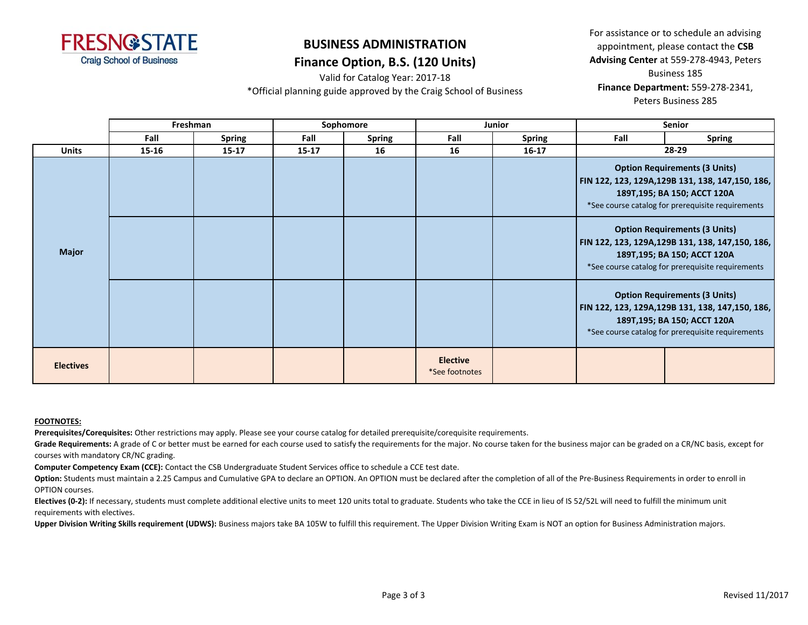

Valid for Catalog Year: 2017-18

For assistance or to schedule an advising appointment, please contact the **CSB Advising Center** at 559-278-4943, Peters Business 185 **Finance Department:** 559-278-2341, Peters Business 285

\*Official planning guide approved by the Craig School of Business

|                  | Freshman |               |           | Sophomore     |                                   | <b>Junior</b> |                                                                                                                                                                                | Senior                                                                                                                                                                         |
|------------------|----------|---------------|-----------|---------------|-----------------------------------|---------------|--------------------------------------------------------------------------------------------------------------------------------------------------------------------------------|--------------------------------------------------------------------------------------------------------------------------------------------------------------------------------|
|                  | Fall     | <b>Spring</b> | Fall      | <b>Spring</b> | Fall                              | <b>Spring</b> | Fall                                                                                                                                                                           | <b>Spring</b>                                                                                                                                                                  |
| <b>Units</b>     | 15-16    | $15 - 17$     | $15 - 17$ | 16            | 16                                | $16 - 17$     |                                                                                                                                                                                | 28-29                                                                                                                                                                          |
|                  |          |               |           |               |                                   |               | <b>Option Requirements (3 Units)</b><br>FIN 122, 123, 129A, 129B 131, 138, 147, 150, 186,<br>189T, 195; BA 150; ACCT 120A<br>*See course catalog for prerequisite requirements |                                                                                                                                                                                |
| <b>Major</b>     |          |               |           |               |                                   |               |                                                                                                                                                                                | <b>Option Requirements (3 Units)</b><br>  FIN 122, 123, 129A,129B 131, 138, 147,150, 186,<br>189T, 195; BA 150; ACCT 120A<br>*See course catalog for prerequisite requirements |
|                  |          |               |           |               |                                   |               | <b>Option Requirements (3 Units)</b><br>FIN 122, 123, 129A, 129B 131, 138, 147, 150, 186,<br>189T, 195; BA 150; ACCT 120A<br>*See course catalog for prerequisite requirements |                                                                                                                                                                                |
| <b>Electives</b> |          |               |           |               | <b>Elective</b><br>*See footnotes |               |                                                                                                                                                                                |                                                                                                                                                                                |

#### **FOOTNOTES:**

**Prerequisites/Corequisites:** Other restrictions may apply. Please see your course catalog for detailed prerequisite/corequisite requirements.

Grade Requirements: A grade of C or better must be earned for each course used to satisfy the requirements for the major. No course taken for the business major can be graded on a CR/NC basis, except for courses with mandatory CR/NC grading.

**Computer Competency Exam (CCE):** Contact the CSB Undergraduate Student Services office to schedule a CCE test date.

Option: Students must maintain a 2.25 Campus and Cumulative GPA to declare an OPTION. An OPTION must be declared after the completion of all of the Pre-Business Requirements in order to enroll in OPTION courses.

Electives (0-2): If necessary, students must complete additional elective units to meet 120 units total to graduate. Students who take the CCE in lieu of IS 52/52L will need to fulfill the minimum unit requirements with electives.

Upper Division Writing Skills requirement (UDWS): Business majors take BA 105W to fulfill this requirement. The Upper Division Writing Exam is NOT an option for Business Administration majors.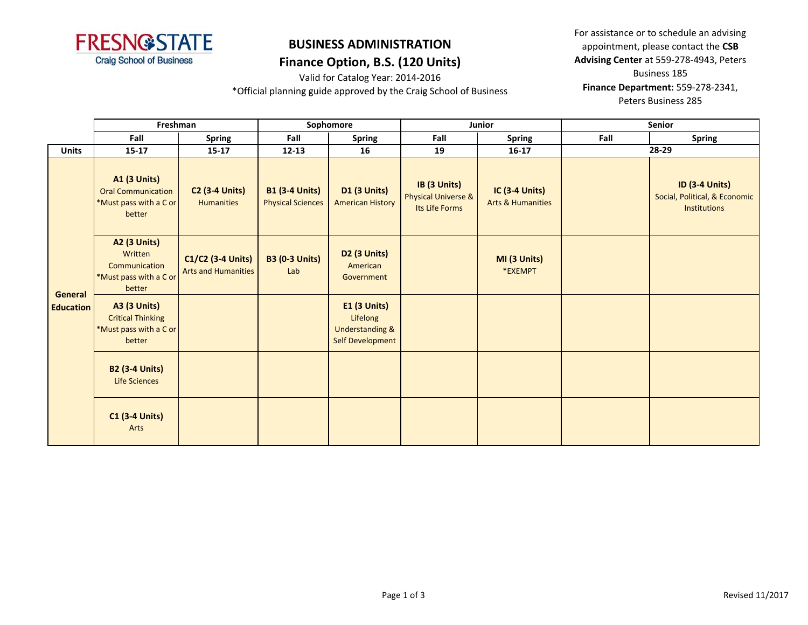

Valid for Catalog Year: 2014-2016

\*Official planning guide approved by the Craig School of Business

|                  | Freshman                                                                             |                                                 |                                                   | Sophomore                                                                         |                                                                  | Junior                                                |      | Senior                                                                        |
|------------------|--------------------------------------------------------------------------------------|-------------------------------------------------|---------------------------------------------------|-----------------------------------------------------------------------------------|------------------------------------------------------------------|-------------------------------------------------------|------|-------------------------------------------------------------------------------|
|                  | Fall                                                                                 | <b>Spring</b>                                   | Fall                                              | <b>Spring</b>                                                                     | Fall                                                             | <b>Spring</b>                                         | Fall | <b>Spring</b>                                                                 |
| <b>Units</b>     | $15 - 17$                                                                            | $15 - 17$                                       | $12 - 13$                                         | 16                                                                                | 19                                                               | $16-17$                                               |      | 28-29                                                                         |
|                  | <b>A1 (3 Units)</b><br><b>Oral Communication</b><br>*Must pass with a C or<br>better | <b>C2 (3-4 Units)</b><br><b>Humanities</b>      | <b>B1 (3-4 Units)</b><br><b>Physical Sciences</b> | <b>D1 (3 Units)</b><br><b>American History</b>                                    | IB (3 Units)<br><b>Physical Universe &amp;</b><br>Its Life Forms | <b>IC (3-4 Units)</b><br><b>Arts &amp; Humanities</b> |      | <b>ID (3-4 Units)</b><br>Social, Political, & Economic<br><b>Institutions</b> |
| General          | <b>A2 (3 Units)</b><br>Written<br>Communication<br>*Must pass with a C or<br>better  | C1/C2 (3-4 Units)<br><b>Arts and Humanities</b> | <b>B3 (0-3 Units)</b><br>Lab                      | D2 (3 Units)<br>American<br>Government                                            |                                                                  | MI (3 Units)<br>*EXEMPT                               |      |                                                                               |
| <b>Education</b> | <b>A3 (3 Units)</b><br><b>Critical Thinking</b><br>*Must pass with a C or<br>better  |                                                 |                                                   | E1 (3 Units)<br>Lifelong<br><b>Understanding &amp;</b><br><b>Self Development</b> |                                                                  |                                                       |      |                                                                               |
|                  | <b>B2 (3-4 Units)</b><br>Life Sciences                                               |                                                 |                                                   |                                                                                   |                                                                  |                                                       |      |                                                                               |
|                  | <b>C1 (3-4 Units)</b><br>Arts                                                        |                                                 |                                                   |                                                                                   |                                                                  |                                                       |      |                                                                               |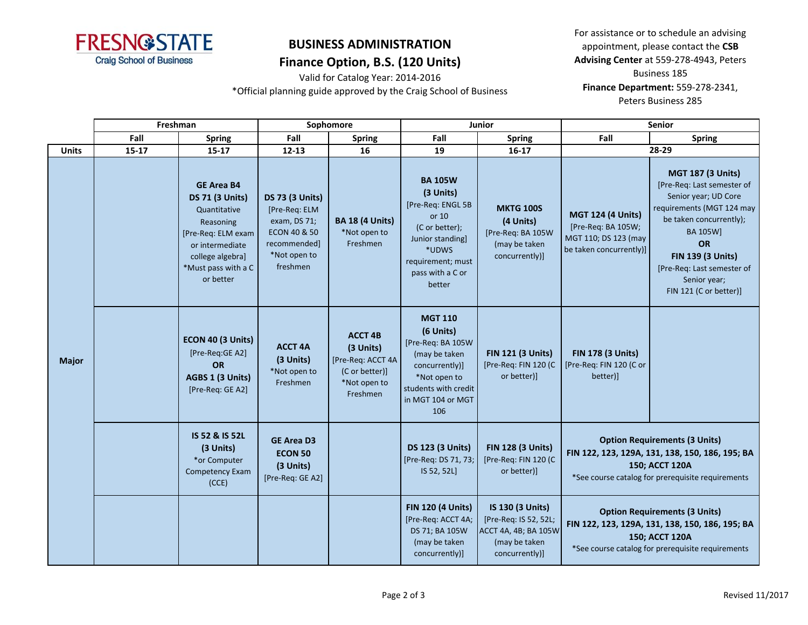

Valid for Catalog Year: 2014-2016

\*Official planning guide approved by the Craig School of Business

|              | Freshman  |                                                                                                                                                                           |                                                                                                                     | Sophomore                                                                                      |                                                                                                                                                             | Junior                                                                                               | <b>Senior</b>                                                                                     |                                                                                                                                                                                                                                                                     |  |
|--------------|-----------|---------------------------------------------------------------------------------------------------------------------------------------------------------------------------|---------------------------------------------------------------------------------------------------------------------|------------------------------------------------------------------------------------------------|-------------------------------------------------------------------------------------------------------------------------------------------------------------|------------------------------------------------------------------------------------------------------|---------------------------------------------------------------------------------------------------|---------------------------------------------------------------------------------------------------------------------------------------------------------------------------------------------------------------------------------------------------------------------|--|
|              | Fall      | <b>Spring</b>                                                                                                                                                             | Fall                                                                                                                | <b>Spring</b>                                                                                  | Fall                                                                                                                                                        | <b>Spring</b>                                                                                        | Fall                                                                                              | <b>Spring</b>                                                                                                                                                                                                                                                       |  |
| <b>Units</b> | $15 - 17$ | $15 - 17$                                                                                                                                                                 | $12 - 13$                                                                                                           | 16                                                                                             | 19                                                                                                                                                          | $16-17$                                                                                              |                                                                                                   | 28-29                                                                                                                                                                                                                                                               |  |
| <b>Major</b> |           | <b>GE Area B4</b><br><b>DS 71 (3 Units)</b><br>Quantitative<br>Reasoning<br>[Pre-Req: ELM exam<br>or intermediate<br>college algebra]<br>*Must pass with a C<br>or better | <b>DS 73 (3 Units)</b><br>[Pre-Req: ELM<br>exam, DS 71;<br>ECON 40 & 50<br>recommended]<br>*Not open to<br>freshmen | <b>BA 18 (4 Units)</b><br>*Not open to<br>Freshmen                                             | <b>BA 105W</b><br>(3 Units)<br>[Pre-Req: ENGL 5B<br>or 10<br>(C or better);<br>Junior standing]<br>*UDWS<br>requirement; must<br>pass with a C or<br>better | <b>MKTG 100S</b><br>(4 Units)<br>[Pre-Req: BA 105W<br>(may be taken<br>concurrently)]                | <b>MGT 124 (4 Units)</b><br>[Pre-Req: BA 105W;<br>MGT 110; DS 123 (may<br>be taken concurrently)] | <b>MGT 187 (3 Units)</b><br>[Pre-Req: Last semester of<br>Senior year; UD Core<br>requirements (MGT 124 may<br>be taken concurrently);<br><b>BA 105W]</b><br>OR<br><b>FIN 139 (3 Units)</b><br>[Pre-Req: Last semester of<br>Senior year;<br>FIN 121 (C or better)] |  |
|              |           | ECON 40 (3 Units)<br>[Pre-Req:GE A2]<br><b>OR</b><br>AGBS 1 (3 Units)<br>[Pre-Req: GE A2]                                                                                 | <b>ACCT 4A</b><br>(3 Units)<br>*Not open to<br>Freshmen                                                             | <b>ACCT 4B</b><br>(3 Units)<br>[Pre-Req: ACCT 4A<br>(C or better)]<br>*Not open to<br>Freshmen | <b>MGT 110</b><br>(6 Units)<br>[Pre-Req: BA 105W<br>(may be taken<br>concurrently)]<br>*Not open to<br>students with credit<br>in MGT 104 or MGT<br>106     | <b>FIN 121 (3 Units)</b><br>[Pre-Req: FIN 120 (C<br>or better)]                                      | <b>FIN 178 (3 Units)</b><br>[Pre-Req: FIN 120 (C or<br>better)]                                   |                                                                                                                                                                                                                                                                     |  |
|              |           | IS 52 & IS 52L<br>(3 Units)<br>*or Computer<br><b>Competency Exam</b><br>(CCE)                                                                                            | <b>GE Area D3</b><br><b>ECON 50</b><br>(3 Units)<br>[Pre-Req: GE A2]                                                |                                                                                                | <b>DS 123 (3 Units)</b><br>[Pre-Req: DS 71, 73;<br>IS 52, 52L]                                                                                              | <b>FIN 128 (3 Units)</b><br>[Pre-Req: FIN 120 (C<br>or better)]                                      |                                                                                                   | <b>Option Requirements (3 Units)</b><br>FIN 122, 123, 129A, 131, 138, 150, 186, 195; BA<br>150; ACCT 120A<br>*See course catalog for prerequisite requirements                                                                                                      |  |
|              |           |                                                                                                                                                                           |                                                                                                                     |                                                                                                | <b>FIN 120 (4 Units)</b><br>[Pre-Req: ACCT 4A;<br>DS 71; BA 105W<br>(may be taken<br>concurrently)]                                                         | IS 130 (3 Units)<br>[Pre-Req: IS 52, 52L;<br>ACCT 4A, 4B; BA 105W<br>(may be taken<br>concurrently)] |                                                                                                   | <b>Option Requirements (3 Units)</b><br>FIN 122, 123, 129A, 131, 138, 150, 186, 195; BA<br>150; ACCT 120A<br>*See course catalog for prerequisite requirements                                                                                                      |  |